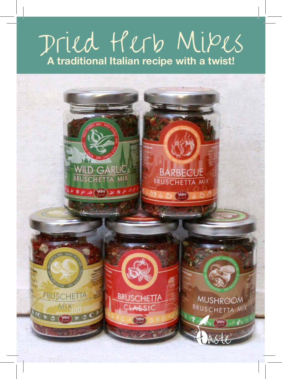## Dried Herb Mixes **A traditional Italian recipe with a twist!**